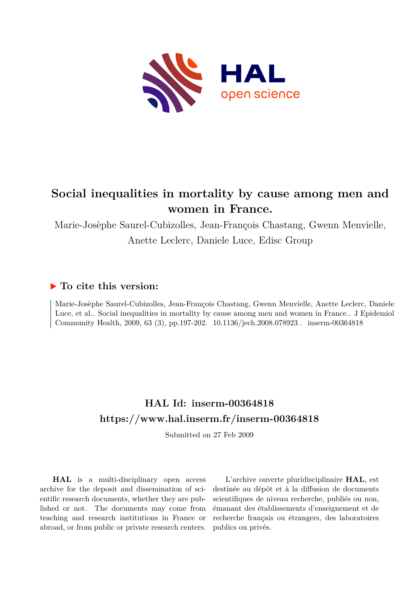

# **Social inequalities in mortality by cause among men and women in France.**

Marie-Josèphe Saurel-Cubizolles, Jean-François Chastang, Gwenn Menvielle, Anette Leclerc, Daniele Luce, Edisc Group

## **To cite this version:**

Marie-Josèphe Saurel-Cubizolles, Jean-François Chastang, Gwenn Menvielle, Anette Leclerc, Daniele Luce, et al.. Social inequalities in mortality by cause among men and women in France.. J Epidemiol Community Health, 2009, 63 (3), pp.197-202. 10.1136/jech.2008.078923. inserm-00364818

# **HAL Id: inserm-00364818 <https://www.hal.inserm.fr/inserm-00364818>**

Submitted on 27 Feb 2009

**HAL** is a multi-disciplinary open access archive for the deposit and dissemination of scientific research documents, whether they are published or not. The documents may come from teaching and research institutions in France or abroad, or from public or private research centers.

L'archive ouverte pluridisciplinaire **HAL**, est destinée au dépôt et à la diffusion de documents scientifiques de niveau recherche, publiés ou non, émanant des établissements d'enseignement et de recherche français ou étrangers, des laboratoires publics ou privés.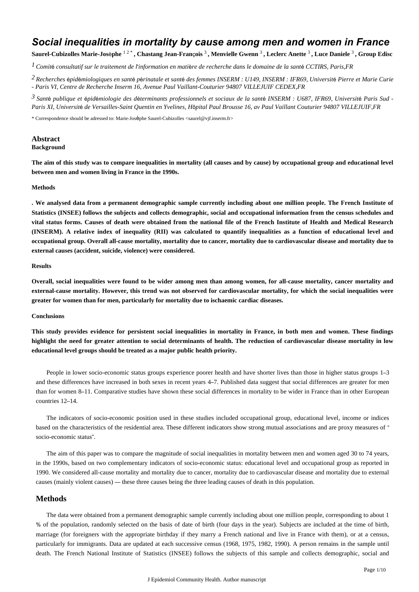## *Social inequalities in mortality by cause among men and women in France*

Saurel-Cubizolles Marie-Josèphe <sup>12\*</sup>, Chastang Jean-François <sup>3</sup>, Menvielle Gwenn <sup>3</sup>, Leclerc Anette <sup>3</sup>, Luce Daniele <sup>3</sup>, Group Edisc

*l* Comité consultatif sur le traitement de l'information en matière de recherche dans le domaine de la santé CCTIRS, Paris,FR

<sup>2</sup> Recherches épidémiologiques en santé périnatale et santé des femmes INSERM : U149, INSERM : IFR69, Université Pierre et Marie Curie *- Paris VI, Centre de Recherche Inserm 16, Avenue Paul Vaillant-Couturier 94807 VILLEJUIF CEDEX,FR*

*Sant publique et pid miologie des d terminants professionnels et sociaux de la sant 3* <sup>é</sup> <sup>é</sup> <sup>é</sup> <sup>é</sup> <sup>é</sup> *INSERM : U687, IFR69, Universit*é *Paris Sud - Paris XI, Universit*é *de Versailles-Saint Quentin en Yvelines, H*ô*pital Paul Brousse 16, av Paul Vaillant Couturier 94807 VILLEJUIF,FR*

\* Correspondence should be adressed to: Marie-Josèphe Saurel-Cubizolles <saurel@vjf.inserm.fr>

## **Abstract**

#### **Background**

**The aim of this study was to compare inequalities in mortality (all causes and by cause) by occupational group and educational level between men and women living in France in the 1990s.**

#### **Methods**

**. We analysed data from a permanent demographic sample currently including about one million people. The French Institute of Statistics (INSEE) follows the subjects and collects demographic, social and occupational information from the census schedules and vital status forms. Causes of death were obtained from the national file of the French Institute of Health and Medical Research (INSERM). A relative index of inequality (RII) was calculated to quantify inequalities as a function of educational level and occupational group. Overall all-cause mortality, mortality due to cancer, mortality due to cardiovascular disease and mortality due to external causes (accident, suicide, violence) were considered.**

#### **Results**

**Overall, social inequalities were found to be wider among men than among women, for all-cause mortality, cancer mortality and external-cause mortality. However, this trend was not observed for cardiovascular mortality, for which the social inequalities were greater for women than for men, particularly for mortality due to ischaemic cardiac diseases.**

#### **Conclusions**

**This study provides evidence for persistent social inequalities in mortality in France, in both men and women. These findings highlight the need for greater attention to social determinants of health. The reduction of cardiovascular disease mortality in low educational level groups should be treated as a major public health priority.**

People in lower socio-economic status groups experience poorer health and have shorter lives than those in higher status groups 1–3 and these differences have increased in both sexes in recent years 4–7. Published data suggest that social differences are greater for men than for women 8–11. Comparative studies have shown these social differences in mortality to be wider in France than in other European countries 12–14.

The indicators of socio-economic position used in these studies included occupational group, educational level, income or indices based on the characteristics of the residential area. These different indicators show strong mutual associations and are proxy measures of " socio-economic status".

The aim of this paper was to compare the magnitude of social inequalities in mortality between men and women aged 30 to 74 years, in the 1990s, based on two complementary indicators of socio-economic status: educational level and occupational group as reported in 1990. We considered all-cause mortality and mortality due to cancer, mortality due to cardiovascular disease and mortality due to external causes (mainly violent causes) — these three causes being the three leading causes of death in this population.

## **Methods**

The data were obtained from a permanent demographic sample currently including about one million people, corresponding to about 1 % of the population, randomly selected on the basis of date of birth (four days in the year). Subjects are included at the time of birth, marriage (for foreigners with the appropriate birthday if they marry a French national and live in France with them), or at a census, particularly for immigrants. Data are updated at each successive census (1968, 1975, 1982, 1990). A person remains in the sample until death. The French National Institute of Statistics (INSEE) follows the subjects of this sample and collects demographic, social and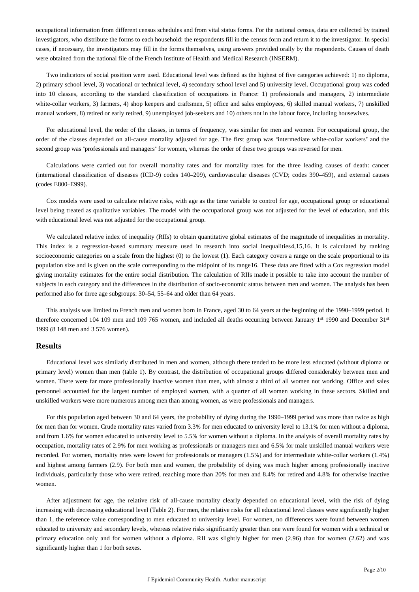occupational information from different census schedules and from vital status forms. For the national census, data are collected by trained investigators, who distribute the forms to each household: the respondents fill in the census form and return it to the investigator. In special cases, if necessary, the investigators may fill in the forms themselves, using answers provided orally by the respondents. Causes of death were obtained from the national file of the French Institute of Health and Medical Research (INSERM).

Two indicators of social position were used. Educational level was defined as the highest of five categories achieved: 1) no diploma, 2) primary school level, 3) vocational or technical level, 4) secondary school level and 5) university level. Occupational group was coded into 10 classes, according to the standard classification of occupations in France: 1) professionals and managers, 2) intermediate white-collar workers, 3) farmers, 4) shop keepers and craftsmen, 5) office and sales employees, 6) skilled manual workers, 7) unskilled manual workers, 8) retired or early retired, 9) unemployed job-seekers and 10) others not in the labour force, including housewives.

For educational level, the order of the classes, in terms of frequency, was similar for men and women. For occupational group, the order of the classes depended on all-cause mortality adjusted for age. The first group was "intermediate white-collar workers" and the second group was "professionals and managers" for women, whereas the order of these two groups was reversed for men.

Calculations were carried out for overall mortality rates and for mortality rates for the three leading causes of death: cancer (international classification of diseases (ICD-9) codes 140–209), cardiovascular diseases (CVD; codes 390–459), and external causes (codes E800–E999).

Cox models were used to calculate relative risks, with age as the time variable to control for age, occupational group or educational level being treated as qualitative variables. The model with the occupational group was not adjusted for the level of education, and this with educational level was not adjusted for the occupational group.

We calculated relative index of inequality (RIIs) to obtain quantitative global estimates of the magnitude of inequalities in mortality. This index is a regression-based summary measure used in research into social inequalities4,15,16. It is calculated by ranking socioeconomic categories on a scale from the highest (0) to the lowest (1). Each category covers a range on the scale proportional to its population size and is given on the scale corresponding to the midpoint of its range16. These data are fitted with a Cox regression model giving mortality estimates for the entire social distribution. The calculation of RIIs made it possible to take into account the number of subjects in each category and the differences in the distribution of socio-economic status between men and women. The analysis has been performed also for three age subgroups: 30–54, 55–64 and older than 64 years.

This analysis was limited to French men and women born in France, aged 30 to 64 years at the beginning of the 1990–1999 period. It therefore concerned 104 109 men and 109 765 women, and included all deaths occurring between January 1<sup>st</sup> 1990 and December 31<sup>st</sup> 1999 (8 148 men and 3 576 women).

## **Results**

Educational level was similarly distributed in men and women, although there tended to be more less educated (without diploma or primary level) women than men (table 1). By contrast, the distribution of occupational groups differed considerably between men and women. There were far more professionally inactive women than men, with almost a third of all women not working. Office and sales personnel accounted for the largest number of employed women, with a quarter of all women working in these sectors. Skilled and unskilled workers were more numerous among men than among women, as were professionals and managers.

For this population aged between 30 and 64 years, the probability of dying during the 1990–1999 period was more than twice as high for men than for women. Crude mortality rates varied from 3.3% for men educated to university level to 13.1% for men without a diploma, and from 1.6% for women educated to university level to 5.5% for women without a diploma. In the analysis of overall mortality rates by occupation, mortality rates of 2.9% for men working as professionals or managers men and 6.5% for male unskilled manual workers were recorded. For women, mortality rates were lowest for professionals or managers (1.5%) and for intermediate white-collar workers (1.4%) and highest among farmers (2.9). For both men and women, the probability of dying was much higher among professionally inactive individuals, particularly those who were retired, reaching more than 20% for men and 8.4% for retired and 4.8% for otherwise inactive women.

After adjustment for age, the relative risk of all-cause mortality clearly depended on educational level, with the risk of dying increasing with decreasing educational level (Table 2). For men, the relative risks for all educational level classes were significantly higher than 1, the reference value corresponding to men educated to university level. For women, no differences were found between women educated to university and secondary levels, whereas relative risks significantly greater than one were found for women with a technical or primary education only and for women without a diploma. RII was slightly higher for men (2.96) than for women (2.62) and was significantly higher than 1 for both sexes.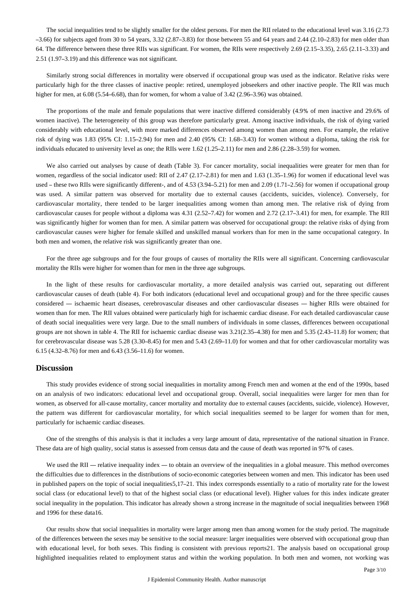The social inequalities tend to be slightly smaller for the oldest persons. For men the RII related to the educational level was 3.16 (2.73  $-3.66$ ) for subjects aged from 30 to 54 years,  $3.32$  (2.87–3.83) for those between 55 and 64 years and 2.44 (2.10–2.83) for men older than 64. The difference between these three RIIs was significant. For women, the RIIs were respectively 2.69 (2.15–3.35), 2.65 (2.11–3.33) and 2.51 (1.97–3.19) and this difference was not significant.

Similarly strong social differences in mortality were observed if occupational group was used as the indicator. Relative risks were particularly high for the three classes of inactive people: retired, unemployed jobseekers and other inactive people. The RII was much higher for men, at 6.08 (5.54–6.68), than for women, for whom a value of 3.42 (2.96–3.96) was obtained.

The proportions of the male and female populations that were inactive differed considerably (4.9% of men inactive and 29.6% of women inactive). The heterogeneity of this group was therefore particularly great. Among inactive individuals, the risk of dying varied considerably with educational level, with more marked differences observed among women than among men. For example, the relative risk of dying was 1.83 (95% CI: 1.15–2.94) for men and 2.40 (95% CI: 1.68–3.43) for women without a diploma, taking the risk for individuals educated to university level as one; the RIIs were 1.62 (1.25–2.11) for men and 2.86 (2.28–3.59) for women.

We also carried out analyses by cause of death (Table 3). For cancer mortality, social inequalities were greater for men than for women, regardless of the social indicator used: RII of 2.47 (2.17–2.81) for men and 1.63 (1.35–1.96) for women if educational level was used – these two RIIs were significantly different-, and of 4.53 (3.94–5.21) for men and 2.09 (1.71–2.56) for women if occupational group was used. A similar pattern was observed for mortality due to external causes (accidents, suicides, violence). Conversely, for cardiovascular mortality, there tended to be larger inequalities among women than among men. The relative risk of dying from cardiovascular causes for people without a diploma was 4.31 (2.52–7.42) for women and 2.72 (2.17–3.41) for men, for example. The RII was significantly higher for women than for men. A similar pattern was observed for occupational group: the relative risks of dying from cardiovascular causes were higher for female skilled and unskilled manual workers than for men in the same occupational category. In both men and women, the relative risk was significantly greater than one.

For the three age subgroups and for the four groups of causes of mortality the RIIs were all significant. Concerning cardiovascular mortality the RIIs were higher for women than for men in the three age subgroups.

In the light of these results for cardiovascular mortality, a more detailed analysis was carried out, separating out different cardiovascular causes of death (table 4). For both indicators (educational level and occupational group) and for the three specific causes considered — ischaemic heart diseases, cerebrovascular diseases and other cardiovascular diseases — higher RIIs were obtained for women than for men. The RII values obtained were particularly high for ischaemic cardiac disease. For each detailed cardiovascular cause of death social inequalities were very large. Due to the small numbers of individuals in some classes, differences between occupational groups are not shown in table 4. The RII for ischaemic cardiac disease was 3.21(2.35–4.38) for men and 5.35 (2.43–11.8) for women; that for cerebrovascular disease was 5.28 (3.30–8.45) for men and 5.43 (2.69–11.0) for women and that for other cardiovascular mortality was 6.15 (4.32–8.76) for men and 6.43 (3.56–11.6) for women.

#### **Discussion**

This study provides evidence of strong social inequalities in mortality among French men and women at the end of the 1990s, based on an analysis of two indicators: educational level and occupational group. Overall, social inequalities were larger for men than for women, as observed for all-cause mortality, cancer mortality and mortality due to external causes (accidents, suicide, violence). However, the pattern was different for cardiovascular mortality, for which social inequalities seemed to be larger for women than for men, particularly for ischaemic cardiac diseases.

One of the strengths of this analysis is that it includes a very large amount of data, representative of the national situation in France. These data are of high quality, social status is assessed from census data and the cause of death was reported in 97% of cases.

We used the RII — relative inequality index — to obtain an overview of the inequalities in a global measure. This method overcomes the difficulties due to differences in the distributions of socio-economic categories between women and men. This indicator has been used in published papers on the topic of social inequalities5,17–21. This index corresponds essentially to a ratio of mortality rate for the lowest social class (or educational level) to that of the highest social class (or educational level). Higher values for this index indicate greater social inequality in the population. This indicator has already shown a strong increase in the magnitude of social inequalities between 1968 and 1996 for these data16.

Our results show that social inequalities in mortality were larger among men than among women for the study period. The magnitude of the differences between the sexes may be sensitive to the social measure: larger inequalities were observed with occupational group than with educational level, for both sexes. This finding is consistent with previous reports21. The analysis based on occupational group highlighted inequalities related to employment status and within the working population. In both men and women, not working was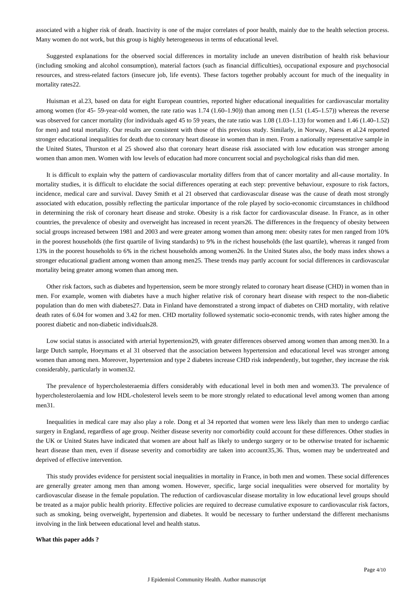associated with a higher risk of death. Inactivity is one of the major correlates of poor health, mainly due to the health selection process. Many women do not work, but this group is highly heterogeneous in terms of educational level.

Suggested explanations for the observed social differences in mortality include an uneven distribution of health risk behaviour (including smoking and alcohol consumption), material factors (such as financial difficulties), occupational exposure and psychosocial resources, and stress-related factors (insecure job, life events). These factors together probably account for much of the inequality in mortality rates22.

Huisman et al.23, based on data for eight European countries, reported higher educational inequalities for cardiovascular mortality among women (for 45- 59-year-old women, the rate ratio was 1.74 (1.60–1.90)) than among men (1.51 (1.45–1.57)) whereas the reverse was observed for cancer mortality (for individuals aged 45 to 59 years, the rate ratio was 1.08 (1.03–1.13) for women and 1.46 (1.40–1.52) for men) and total mortality. Our results are consistent with those of this previous study. Similarly, in Norway, Naess et al.24 reported stronger educational inequalities for death due to coronary heart disease in women than in men. From a nationally representative sample in the United States, Thurston et al 25 showed also that coronary heart disease risk associated with low education was stronger among women than amon men. Women with low levels of education had more concurrent social and psychological risks than did men.

It is difficult to explain why the pattern of cardiovascular mortality differs from that of cancer mortality and all-cause mortality. In mortality studies, it is difficult to elucidate the social differences operating at each step: preventive behaviour, exposure to risk factors, incidence, medical care and survival. Davey Smith et al 21 observed that cardiovascular disease was the cause of death most strongly associated with education, possibly reflecting the particular importance of the role played by socio-economic circumstances in childhood in determining the risk of coronary heart disease and stroke. Obesity is a risk factor for cardiovascular disease. In France, as in other countries, the prevalence of obesity and overweight has increased in recent years26. The differences in the frequency of obesity between social groups increased between 1981 and 2003 and were greater among women than among men: obesity rates for men ranged from 10% in the poorest households (the first quartile of living standards) to 9% in the richest households (the last quartile), whereas it ranged from 13% in the poorest households to 6% in the richest households among women26. In the United States also, the body mass index shows a stronger educational gradient among women than among men25. These trends may partly account for social differences in cardiovascular mortality being greater among women than among men.

Other risk factors, such as diabetes and hypertension, seem be more strongly related to coronary heart disease (CHD) in women than in men. For example, women with diabetes have a much higher relative risk of coronary heart disease with respect to the non-diabetic population than do men with diabetes27. Data in Finland have demonstrated a strong impact of diabetes on CHD mortality, with relative death rates of 6.04 for women and 3.42 for men. CHD mortality followed systematic socio-economic trends, with rates higher among the poorest diabetic and non-diabetic individuals28.

Low social status is associated with arterial hypertension29, with greater differences observed among women than among men30. In a large Dutch sample, Hoeymans et al 31 observed that the association between hypertension and educational level was stronger among women than among men. Moreover, hypertension and type 2 diabetes increase CHD risk independently, but together, they increase the risk considerably, particularly in women32.

The prevalence of hypercholesteraemia differs considerably with educational level in both men and women33. The prevalence of hypercholesterolaemia and low HDL-cholesterol levels seem to be more strongly related to educational level among women than among men<sub>31</sub>.

Inequalities in medical care may also play a role. Dong et al 34 reported that women were less likely than men to undergo cardiac surgery in England, regardless of age group. Neither disease severity nor comorbidity could account for these differences. Other studies in the UK or United States have indicated that women are about half as likely to undergo surgery or to be otherwise treated for ischaemic heart disease than men, even if disease severity and comorbidity are taken into account35,36. Thus, women may be undertreated and deprived of effective intervention.

This study provides evidence for persistent social inequalities in mortality in France, in both men and women. These social differences are generally greater among men than among women. However, specific, large social inequalities were observed for mortality by cardiovascular disease in the female population. The reduction of cardiovascular disease mortality in low educational level groups should be treated as a major public health priority. Effective policies are required to decrease cumulative exposure to cardiovascular risk factors, such as smoking, being overweight, hypertension and diabetes. It would be necessary to further understand the different mechanisms involving in the link between educational level and health status.

#### **What this paper adds ?**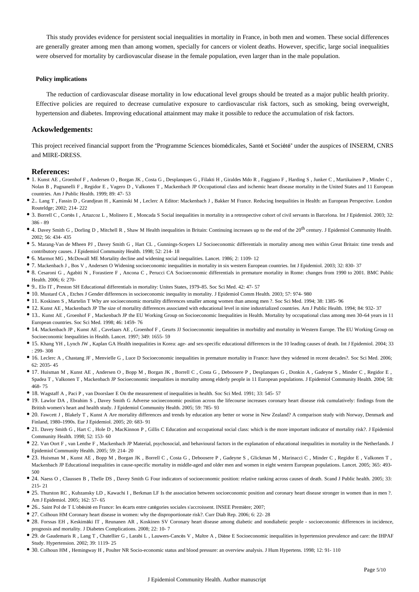This study provides evidence for persistent social inequalities in mortality in France, in both men and women. These social differences are generally greater among men than among women, specially for cancers or violent deaths. However, specific, large social inequalities were observed for mortality by cardiovascular disease in the female population, even larger than in the male population.

#### **Policy implications**

The reduction of cardiovascular disease mortality in low educational level groups should be treated as a major public health priority. Effective policies are required to decrease cumulative exposure to cardiovascular risk factors, such as smoking, being overweight, hypertension and diabetes. Improving educational attainment may make it possible to reduce the accumulation of risk factors.

### **Ackowledgements:**

This project received financial support from the "Programme Sciences biomédicales, Santé et Société" under the auspices of INSERM, CNRS and MIRE-DRESS.

#### **References:**

- 1. Kunst AE , Groenhof F , Andersen O , Borgan JK , Costa G , Desplanques G , Filakti H , Giraldes Mdo R , Faggiano F , Harding S , Junker C , Martikainen P , Minder C , Nolan B, Pagnanelli F, Regidor E, Vagero D, Valkonen T, Mackenbach JP Occupational class and ischemic heart disease mortality in the United States and 11 European countries. Am J Public Health. 1999; 89: 47- 53
- 2.. Lang T , Fassin D , Grandjean H , Kaminski M , Leclerc A Editor: Mackenbach J , Bakker M France. Reducing Inequalities in Health: an European Perspective. London Routeldge; 2002; 214- 222
- 3. Borrell C , Cortès I , Artazcoz L , Molinero E , Moncada S Social inequalities in mortality in a retrospective cohort of civil servants in Barcelona. Int J Epidemiol. 2003; 32: 386 - 89
- 4. Davey Smith G, Dorling D, Mitchell R, Shaw M Health inequalities in Britain: Continuing increases up to the end of the 20<sup>th</sup> century. J Epidemiol Community Health. 2002; 56: 434- 435
- 5. Marang-Van de Mheen PJ , Davey Smith G , Hart CL , Gunnings-Scepers LJ Socioeconomic differentials in mortality among men within Great Britain: time trends and contributory causes. J Epidemiol Community Health. 1998; 52: 214- 18
- 6. Marmot MG , McDowall ME Mortality decline and widening social inequalities. Lancet. 1986; 2: 1109- 12
- 7. Mackenbach J , Bos V , Andersen O Widening socioeconomic inequalities in mortality in six western European countries. Int J Epidemiol. 2003; 32: 830- 37
- 8. Cesaroni G , Agabiti N , Forastiere F , Ancona C , Perucci CA Socioeconomic differentials in premature mortality in Rome: changes from 1990 to 2001. BMC Public Health. 2006; 6: 270-
- 9.. Elo IT , Preston SH Educational differentials in mortality: Unites States, 1979–85. Soc Sci Med. 42: 47- 57
- 10. Mustard CA , Etches J Gender differences in socioeconomic inequality in mortality. J Epidemiol Comm Health. 2003; 57: 974- 980
- 11. Koskinen S , Martelin T Why are socioeconomic mortality differences smaller among women than among men ?. Soc Sci Med. 1994; 38: 1385- 96
- 12. Kunst AE , Mackenbach JP The size of mortality differences associated with educational level in nine industrialized countries. Am J Public Health. 1994; 84: 932- 37
- 13.. Kunst AE , Groenhof F , Mackenbach JP the EU Working Group on Socioeconomic Inequalities in Health. Mortality by occupational class among men 30–64 years in 11 European countries. Soc Sci Med. 1998; 46: 1459- 76
- 14. Mackenbach JP , Kunst AE , Cavelaars AE , Groenhof F , Geurts JJ Socioeconomic inequalities in morbidity and mortality in Western Europe. The EU Working Group on Socioeconomic Inequalities in Health. Lancet. 1997; 349: 1655- 59
- 15. Khang YH , Lynch JW , Kaplan GA Health inequalities in Korea: age- and sex-specific educational differences in the 10 leading causes of death. Int J Epidemiol. 2004; 33 : 299- 308
- 16. Leclerc A , Chastang JF , Menvielle G , Luce D Socioeconomic inequalities in premature mortality in France: have they widened in recent decades?. Soc Sci Med. 2006; 62: 2035- 45
- 17. Huisman M , Kunst AE , Andersen O , Bopp M , Borgan JK , Borrell C , Costa G , Deboosere P , Desplanques G , Donkin A , Gadeyne S , Minder C , Regidor E , Spadea T , Valkonen T , Mackenbach JP Socioeconomic inequalities in mortality among elderly people in 11 European populations. J Epidemiol Community Health. 2004; 58: 468- 75
- 18. Wagstaff A , Paci P , van Doorslaer E On the measurement of inequalities in health. Soc Sci Med. 1991; 33: 545- 57
- 19. Lawlor DA , Ebrahim S , Davey Smith G Adverse socioeconomic position across the lifecourse increases coronary heart disease risk cumulatively: findings from the British women's heart and health study. J Epidemiol Community Health. 2005; 59: 785- 93
- 20. Fawcett J, Blakely T, Kunst A Are mortality differences and trends by education any better or worse in New Zealand? A comparison study with Norway, Denmark and Finland, 1980–1990s. Eur J Epidemiol. 2005; 20: 683- 91
- 21. Davey Smith G , Hart C , Hole D , MacKinnon P , Gillis C Education and occupational social class: which is the more important indicator of mortality risk?. J Epidemiol Community Health. 1998; 52: 153- 60
- 22. Van Oort F , van Lenthe F , Mackenbach JP Material, psychosocial, and behavioural factors in the explanation of educational inequalities in mortality in the Netherlands. J Epidemiol Community Health. 2005; 59: 214- 20
- 23. Huisman M , Kunst AE , Bopp M , Borgan JK , Borrell C , Costa G , Deboosere P , Gadeyne S , Glickman M , Marinacci C , Minder C , Regidor E , Valkonen T , Mackenbach JP Educational inequalities in cause-specific mortality in middle-aged and older men and women in eight western European populations. Lancet. 2005; 365: 493- 500
- 24. Naess O , Claussen B , Thelle DS , Davey Smith G Four indicators of socioeconomic position: relative ranking across causes of death. Scand J Public health. 2005; 33: 215- 21
- 25. Thurston RC , Kubzansky LD , Kawachi I , Berkman LF Is the association between socioeconomic position and coronary heart disease stronger in women than in men ?. Am J Epidemiol. 2005; 162: 57- 65
- 26.. Saint Pol de T L'obésité en France: les écarts entre catégories sociales s'accroissent. INSEE Première; 2007;
- 27. Colhoun HM Coronary heart disease in women: why the disproportionate risk?. Curr Diab Rep. 2006; 6: 22- 28
- 28. Forssas EH , Keskimäki IT , Reunanen AR , Koskinen SV Coronary heart disease among diabetic and nondiabetic people socioeconomic differences in incidence, prognosis and mortality. J Diabetes Complications. 2008; 22: 10- 7
- 29. de Gaudemaris R , Lang T , Chatellier G , Larabi L , Lauwers-Cancès V , Maître A , Diène E Socioeconomic inequalities in hypertension prevalence and care: the IHPAF Study. Hypertension. 2002; 39: 1119- 25
- 30. Colhoun HM , Hemingway H , Poulter NR Socio-economic status and blood pressure: an overview analysis. J Hum Hypertens. 1998; 12: 91- 110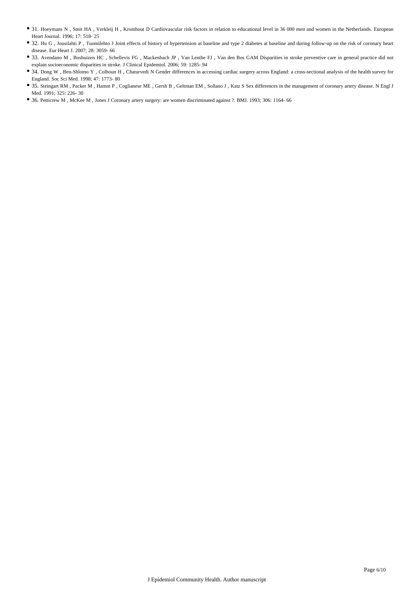- 31. Hoeymans N , Smit HA , Verkleij H , Kromhout D Cardiovascular risk factors in relation to educational level in 36 000 men and women in the Netherlands. European Heart Journal. 1996; 17: 518- 25
- 32. Hu G, Jousilahti P, Tuomilehto J Joint effects of history of hypertension at baseline and type 2 diabetes at baseline and during follow-up on the risk of coronary heart disease. Eur Heart J. 2007; 28: 3059- 66
- 33. Avendano M , Boshuizen HC , Schellevis FG , Mackenbach JP , Van Lenthe FJ , Van den Bos GAM Disparities in stroke preventive care in general practice did not explain socioeconomic disparities in stroke. J Clinical Epidemiol. 2006; 59: 1285- 94
- 34. Dong W , Ben-Shlomo Y , Colhoun H , Chaturvedi N Gender differences in accessing cardiac surgery across England: a cross-sectional analysis of the health survey for England. Soc Sci Med. 1998; 47: 1773- 80
- 35. Steingart RM , Packer M , Hamm P , Coglianese ME , Gersh B , Geltman EM , Sollano J , Katz S Sex differences in the management of coronary artery disease. N Engl J Med. 1991; 325: 226- 30
- 36. Petticrew M , McKee M , Jones J Coronary artery surgery: are women discriminated against ?. BMJ. 1993; 306: 1164- 66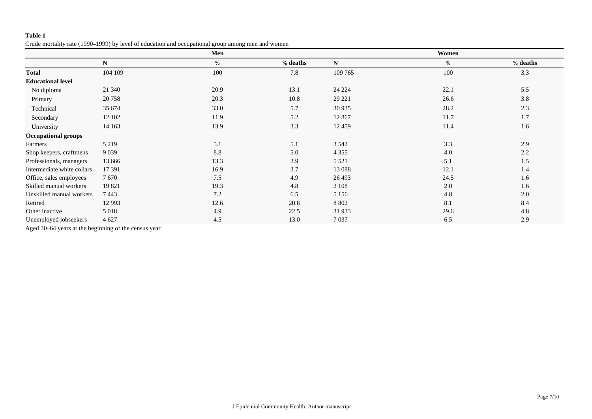Crude mortality rate (1990–1999) by level of education and occupational group among men and women

|                            |          | Men  |          |           | Women |          |
|----------------------------|----------|------|----------|-----------|-------|----------|
|                            | N        | $\%$ | % deaths | ${\bf N}$ | %     | % deaths |
| <b>Total</b>               | 104 109  | 100  | 7.8      | 109 765   | 100   | 3.3      |
| <b>Educational level</b>   |          |      |          |           |       |          |
| No diploma                 | 21 340   | 20.9 | 13.1     | 24 224    | 22.1  | 5.5      |
| Primary                    | 20758    | 20.3 | 10.8     | 29 221    | 26.6  | 3.8      |
| Technical                  | 35 674   | 33.0 | 5.7      | 30 9 35   | 28.2  | 2.3      |
| Secondary                  | 12 102   | 11.9 | 5.2      | 12 867    | 11.7  | 1.7      |
| University                 | 14 163   | 13.9 | 3.3      | 12 4 5 9  | 11.4  | 1.6      |
| <b>Occupational groups</b> |          |      |          |           |       |          |
| Farmers                    | 5 2 1 9  | 5.1  | 5.1      | 3 5 4 2   | 3.3   | 2.9      |
| Shop keepers, craftmens    | 9 0 3 9  | 8.8  | 5.0      | 4 3 5 5   | 4.0   | 2.2      |
| Professionals, managers    | 13 6 6 6 | 13.3 | 2.9      | 5 5 2 1   | 5.1   | 1.5      |
| Intermediate white collars | 17 391   | 16.9 | 3.7      | 13 088    | 12.1  | 1.4      |
| Office, sales employees    | 7670     | 7.5  | 4.9      | 26 4 93   | 24.5  | 1.6      |
| Skilled manual workers     | 19821    | 19.3 | 4.8      | 2 1 0 8   | 2.0   | 1.6      |
| Unskilled manual workers   | 7443     | 7.2  | 6.5      | 5 1 5 6   | 4.8   | 2.0      |
| Retired                    | 12 9 93  | 12.6 | 20.8     | 8 8 0 2   | 8.1   | 8.4      |
| Other inactive             | 5 0 1 8  | 4.9  | 22.5     | 31933     | 29.6  | 4.8      |
| Unemployed jobseekers      | 4 6 27   | 4.5  | 13.0     | 7037      | 6.5   | 2.9      |

Aged 30–64 years at the beginning of the census year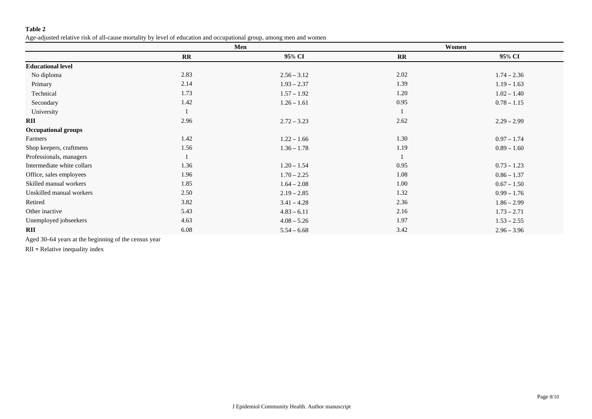Age-adjusted relative risk of all-cause mortality by level of education and occupational group, among men and women

|                            |              | Men           |           | Women         |
|----------------------------|--------------|---------------|-----------|---------------|
|                            | $\mathbf{R}$ | 95% CI        | <b>RR</b> | 95% CI        |
| <b>Educational level</b>   |              |               |           |               |
| No diploma                 | 2.83         | $2.56 - 3.12$ | 2.02      | $1.74 - 2.36$ |
| Primary                    | 2.14         | $1.93 - 2.37$ | 1.39      | $1.19 - 1.63$ |
| Technical                  | 1.73         | $1.57 - 1.92$ | 1.20      | $1.02 - 1.40$ |
| Secondary                  | 1.42         | $1.26 - 1.61$ | 0.95      | $0.78 - 1.15$ |
| University                 |              |               |           |               |
| RII                        | 2.96         | $2.72 - 3.23$ | 2.62      | $2.29 - 2.99$ |
| <b>Occupational groups</b> |              |               |           |               |
| Farmers                    | 1.42         | $1.22 - 1.66$ | 1.30      | $0.97 - 1.74$ |
| Shop keepers, craftmens    | 1.56         | $1.36 - 1.78$ | 1.19      | $0.89 - 1.60$ |
| Professionals, managers    |              |               |           |               |
| Intermediate white collars | 1.36         | $1.20 - 1.54$ | 0.95      | $0.73 - 1.23$ |
| Office, sales employees    | 1.96         | $1.70 - 2.25$ | 1.08      | $0.86 - 1.37$ |
| Skilled manual workers     | 1.85         | $1.64 - 2.08$ | 1.00      | $0.67 - 1.50$ |
| Unskilled manual workers   | 2.50         | $2.19 - 2.85$ | 1.32      | $0.99 - 1.76$ |
| Retired                    | 3.82         | $3.41 - 4.28$ | 2.36      | $1.86 - 2.99$ |
| Other inactive             | 5.43         | $4.83 - 6.11$ | 2.16      | $1.73 - 2.71$ |
| Unemployed jobseekers      | 4.63         | $4.08 - 5.26$ | 1.97      | $1.53 - 2.55$ |
| <b>RII</b>                 | 6.08         | $5.54 - 6.68$ | 3.42      | $2.96 - 3.96$ |

Aged 30–64 years at the beginning of the census year

RII = Relative inequality index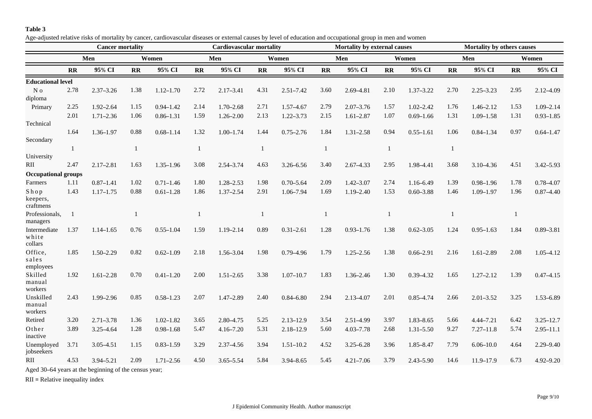Age-adjusted relative risks of mortality by cancer, cardiovascular diseases or external causes by level of education and occupational group in men and women

|                                  | <b>Cancer mortality</b> |               |              |               | Cardiovascular mortality |               |              |               | <b>Mortality by external causes</b> |               |              |               | <b>Mortality by others causes</b> |               |              |               |  |
|----------------------------------|-------------------------|---------------|--------------|---------------|--------------------------|---------------|--------------|---------------|-------------------------------------|---------------|--------------|---------------|-----------------------------------|---------------|--------------|---------------|--|
|                                  |                         | Men<br>Women  |              |               | Men                      |               |              | Women         |                                     | Men           |              | Women         |                                   | Men           |              | Women         |  |
|                                  | <b>RR</b>               | 95% CI        | $\mathbf{R}$ | 95% CI        | $\mathbf{R}$             | 95% CI        | $\mathbf{R}$ | 95% CI        | $\mathbf{R}$                        | 95% CI        | $\mathbf{R}$ | 95% CI        | $\overline{\mathbf{R}}$           | 95% CI        | $\mathbf{R}$ | 95% CI        |  |
| <b>Educational level</b>         |                         |               |              |               |                          |               |              |               |                                     |               |              |               |                                   |               |              |               |  |
| N <sub>0</sub><br>diploma        | 2.78                    | $2.37 - 3.26$ | 1.38         | $1.12 - 1.70$ | 2.72                     | $2.17 - 3.41$ | 4.31         | $2.51 - 7.42$ | 3.60                                | 2.69-4.81     | 2.10         | $1.37 - 3.22$ | 2.70                              | $2.25 - 3.23$ | 2.95         | $2.12 - 4.09$ |  |
| Primary                          | 2.25                    | $1.92 - 2.64$ | 1.15         | $0.94 - 1.42$ | 2.14                     | $1.70 - 2.68$ | 2.71         | $1.57 - 4.67$ | 2.79                                | $2.07 - 3.76$ | 1.57         | $1.02 - 2.42$ | 1.76                              | $1.46 - 2.12$ | 1.53         | $1.09 - 2.14$ |  |
|                                  | 2.01                    | $1.71 - 2.36$ | 1.06         | $0.86 - 1.31$ | 1.59                     | $1.26 - 2.00$ | 2.13         | $1.22 - 3.73$ | 2.15                                | $1.61 - 2.87$ | 1.07         | $0.69 - 1.66$ | 1.31                              | $1.09 - 1.58$ | 1.31         | $0.93 - 1.85$ |  |
| Technical                        |                         |               |              |               |                          |               |              |               |                                     |               |              |               |                                   |               |              |               |  |
| Secondary                        | 1.64                    | $1.36 - 1.97$ | 0.88         | $0.68 - 1.14$ | 1.32                     | $1.00 - 1.74$ | 1.44         | $0.75 - 2.76$ | 1.84                                | $1.31 - 2.58$ | 0.94         | $0.55 - 1.61$ | 1.06                              | $0.84 - 1.34$ | 0.97         | $0.64 - 1.47$ |  |
|                                  | $\mathbf{1}$            |               |              |               | $\mathbf{1}$             |               | 1            |               | $\mathbf{1}$                        |               | 1            |               | 1                                 |               |              |               |  |
| University                       |                         |               |              |               |                          |               |              |               |                                     |               |              |               |                                   |               |              |               |  |
| RII                              | 2.47                    | $2.17 - 2.81$ | 1.63         | $1.35 - 1.96$ | 3.08                     | $2.54 - 3.74$ | 4.63         | 3.26-6.56     | 3.40                                | $2.67 - 4.33$ | 2.95         | 1.98-4.41     | 3.68                              | $3.10 - 4.36$ | 4.51         | $3.42 - 5.93$ |  |
| <b>Occupational groups</b>       |                         |               |              |               |                          |               |              |               |                                     |               |              |               |                                   |               |              |               |  |
| Farmers                          | 1.11                    | $0.87 - 1.41$ | 1.02         | $0.71 - 1.46$ | 1.80                     | $1.28 - 2.53$ | 1.98         | $0.70 - 5.64$ | 2.09                                | $1.42 - 3.07$ | 2.74         | 1.16-6.49     | 1.39                              | $0.98 - 1.96$ | 1.78         | $0.78 - 4.07$ |  |
| Shop<br>keepers,                 | 1.43                    | $1.17 - 1.75$ | 0.88         | $0.61 - 1.28$ | 1.86                     | $1.37 - 2.54$ | 2.91         | 1.06-7.94     | 1.69                                | $1.19 - 2.40$ | 1.53         | $0.60 - 3.88$ | 1.46                              | $1.09 - 1.97$ | 1.96         | $0.87 - 4.40$ |  |
| craftmens<br>Professionals,      |                         |               |              |               | $\mathbf{1}$             |               |              |               |                                     |               | 1            |               |                                   |               | 1            |               |  |
| managers                         |                         |               |              |               |                          |               |              |               |                                     |               |              |               |                                   |               |              |               |  |
| Intermediate<br>white<br>collars | 1.37                    | $1.14 - 1.65$ | 0.76         | $0.55 - 1.04$ | 1.59                     | $1.19 - 2.14$ | 0.89         | $0.31 - 2.61$ | 1.28                                | $0.93 - 1.76$ | 1.38         | $0.62 - 3.05$ | 1.24                              | $0.95 - 1.63$ | 1.84         | $0.89 - 3.81$ |  |
| Office,<br>sales<br>employees    | 1.85                    | $1.50 - 2.29$ | 0.82         | $0.62 - 1.09$ | 2.18                     | 1.56-3.04     | 1.98         | $0.79 - 4.96$ | 1.79                                | $1.25 - 2.56$ | 1.38         | $0.66 - 2.91$ | 2.16                              | $1.61 - 2.89$ | 2.08         | $1.05 - 4.12$ |  |
| Skilled<br>manual<br>workers     | 1.92                    | $1.61 - 2.28$ | 0.70         | $0.41 - 1.20$ | 2.00                     | $1.51 - 2.65$ | 3.38         | $1.07 - 10.7$ | 1.83                                | $1.36 - 2.46$ | 1.30         | $0.39 - 4.32$ | 1.65                              | $1.27 - 2.12$ | 1.39         | $0.47 - 4.15$ |  |
| Unskilled<br>manual<br>workers   | 2.43                    | 1.99-2.96     | 0.85         | $0.58 - 1.23$ | 2.07                     | $1.47 - 2.89$ | 2.40         | $0.84 - 6.80$ | 2.94                                | $2.13 - 4.07$ | 2.01         | $0.85 - 4.74$ | 2.66                              | $2.01 - 3.52$ | 3.25         | $1.53 - 6.89$ |  |
| Retired                          | 3.20                    | $2.71 - 3.78$ | 1.36         | $1.02 - 1.82$ | 3.65                     | $2.80 - 4.75$ | 5.25         | $2.13 - 12.9$ | 3.54                                | 2.51-4.99     | 3.97         | $1.83 - 8.65$ | 5.66                              | $4.44 - 7.21$ | 6.42         | $3.25 - 12.7$ |  |
| Other<br>inactive                | 3.89                    | 3.25-4.64     | 1.28         | $0.98 - 1.68$ | 5.47                     | $4.16 - 7.20$ | 5.31         | $2.18 - 12.9$ | 5.60                                | $4.03 - 7.78$ | 2.68         | $1.31 - 5.50$ | 9.27                              | $7.27 - 11.8$ | 5.74         | $2.95 - 11.1$ |  |
| Unemployed<br>jobseekers         | 3.71                    | $3.05 - 4.51$ | 1.15         | $0.83 - 1.59$ | 3.29                     | 2.37-4.56     | 3.94         | $1.51 - 10.2$ | 4.52                                | $3.25 - 6.28$ | 3.96         | 1.85-8.47     | 7.79                              | $6.06 - 10.0$ | 4.64         | $2.29 - 9.40$ |  |
| RII                              | 4.53                    | 3.94-5.21     | 2.09         | $1.71 - 2.56$ | 4.50                     | $3.65 - 5.54$ | 5.84         | 3.94-8.65     | 5.45                                | $4.21 - 7.06$ | 3.79         | $2.43 - 5.90$ | 14.6                              | 11.9-17.9     | 6.73         | $4.92 - 9.20$ |  |
|                                  |                         |               |              |               |                          |               |              |               |                                     |               |              |               |                                   |               |              |               |  |

Aged 30–64 years at the beginning of the census year;

RII = Relative inequality index